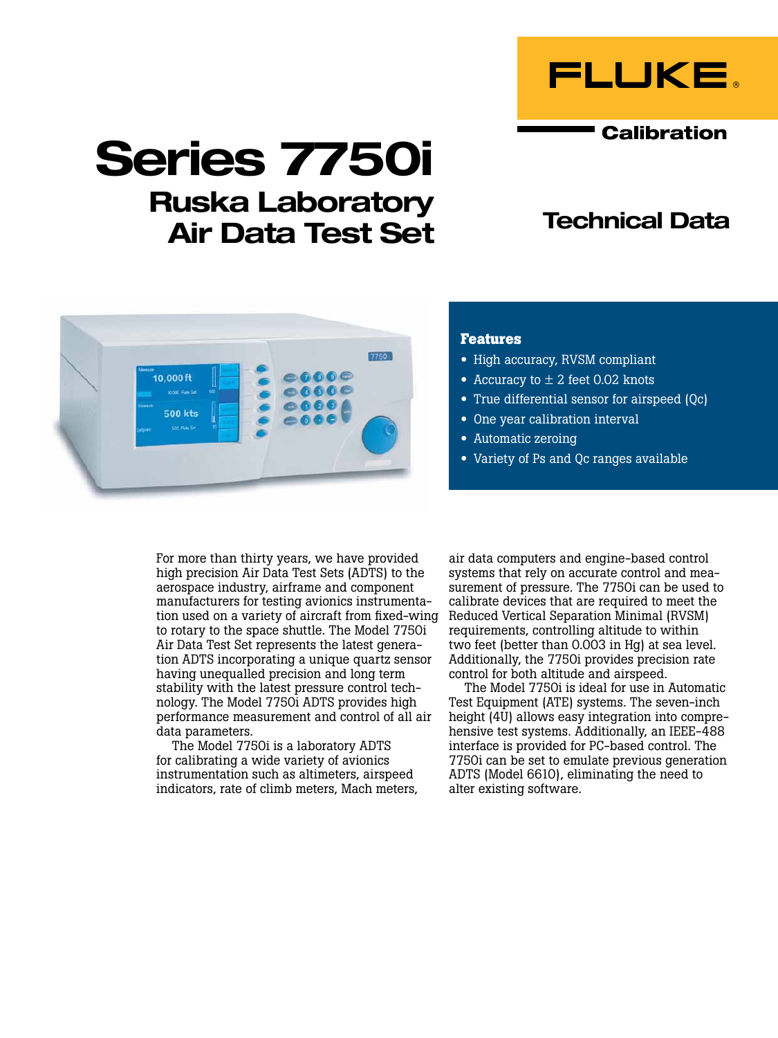

**Calibration** 

# Series 7750i

## Ruska Laboratory Air Data Test Set

## Technical Data



#### **Features**

- High accuracy, RVSM compliant
- Accuracy to  $\pm$  2 feet 0.02 knots
- True differential sensor for airspeed (Qc)
- One year calibration interval
- Automatic zeroing
- Variety of Ps and Qc ranges available

For more than thirty years, we have provided high precision Air Data Test Sets (ADTS) to the aerospace industry, airframe and component manufacturers for testing avionics instrumentation used on a variety of aircraft from fixed-wing Reduced Vertical Separation Minimal (RVSM) to rotary to the space shuttle. The Model 7750i Air Data Test Set represents the latest generation ADTS incorporating a unique quartz sensor having unequalled precision and long term stability with the latest pressure control technology. The Model 7750i ADTS provides high performance measurement and control of all air data parameters.

The Model 7750i is a laboratory ADTS for calibrating a wide variety of avionics instrumentation such as altimeters, airspeed indicators, rate of climb meters, Mach meters, air data computers and engine-based control systems that rely on accurate control and measurement of pressure. The 7750i can be used to calibrate devices that are required to meet the requirements, controlling altitude to within two feet (better than 0.003 in Hg) at sea level. Additionally, the 7750i provides precision rate control for both altitude and airspeed.

The Model 7750i is ideal for use in Automatic Test Equipment (ATE) systems. The seven-inch height (4U) allows easy integration into comprehensive test systems. Additionally, an IEEE-488 interface is provided for PC-based control. The 7750i can be set to emulate previous generation ADTS (Model 6610), eliminating the need to alter existing software.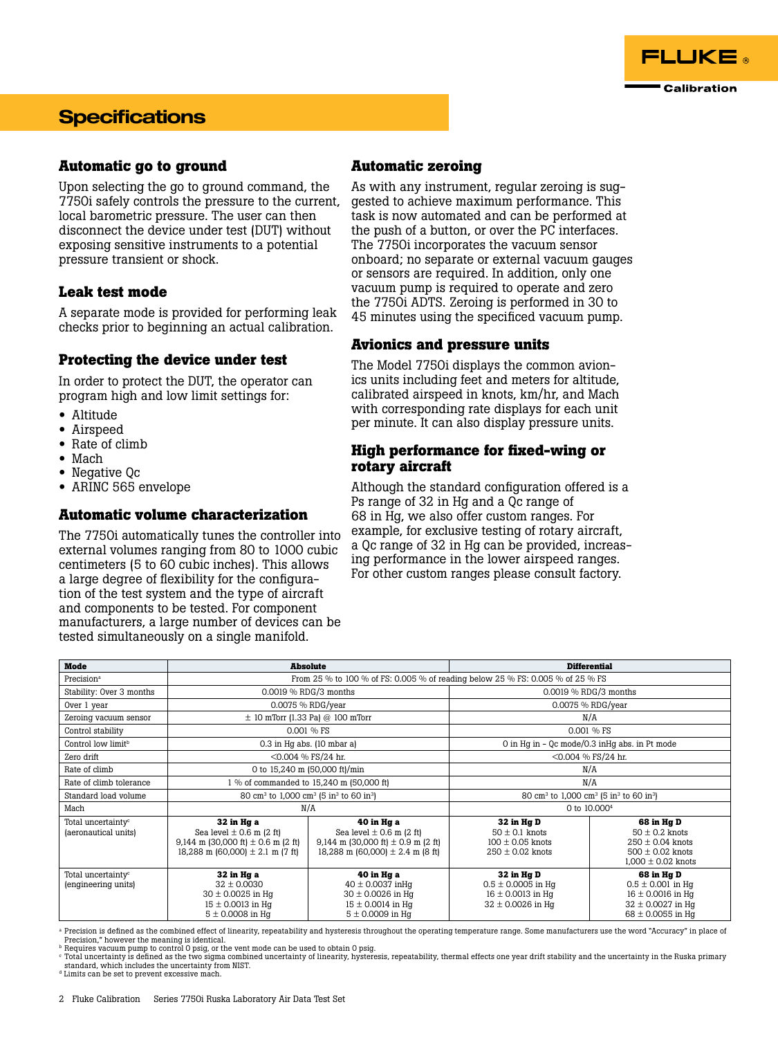

### **Specifications**

#### **Automatic go to ground**

Upon selecting the go to ground command, the 7750i safely controls the pressure to the current, local barometric pressure. The user can then disconnect the device under test (DUT) without exposing sensitive instruments to a potential pressure transient or shock.

#### **Leak test mode**

A separate mode is provided for performing leak checks prior to beginning an actual calibration.

#### **Protecting the device under test**

In order to protect the DUT, the operator can program high and low limit settings for:

- Altitude
- Airspeed
- Rate of climb
- Mach
- Negative Qc
- ARINC 565 envelope

#### **Automatic volume characterization**

The 7750i automatically tunes the controller into external volumes ranging from 80 to 1000 cubic centimeters (5 to 60 cubic inches). This allows a large degree of flexibility for the configuration of the test system and the type of aircraft and components to be tested. For component manufacturers, a large number of devices can be tested simultaneously on a single manifold.

#### **Automatic zeroing**

As with any instrument, regular zeroing is suggested to achieve maximum performance. This task is now automated and can be performed at the push of a button, or over the PC interfaces. The 7750i incorporates the vacuum sensor onboard; no separate or external vacuum gauges or sensors are required. In addition, only one vacuum pump is required to operate and zero the 7750i ADTS. Zeroing is performed in 30 to 45 minutes using the specificed vacuum pump.

#### **Avionics and pressure units**

The Model 7750i displays the common avionics units including feet and meters for altitude, calibrated airspeed in knots, km/hr, and Mach with corresponding rate displays for each unit per minute. It can also display pressure units.

#### **High performance for fixed-wing or rotary aircraft**

Although the standard configuration offered is a Ps range of 32 in Hg and a Qc range of 68 in Hg, we also offer custom ranges. For example, for exclusive testing of rotary aircraft, a Qc range of 32 in Hg can be provided, increasing performance in the lower airspeed ranges. For other custom ranges please consult factory.

| <b>Mode</b>                                            | <b>Absolute</b>                                                                                                              |                                                                                                                              | <b>Differential</b>                                                                    |                                                                                                                |
|--------------------------------------------------------|------------------------------------------------------------------------------------------------------------------------------|------------------------------------------------------------------------------------------------------------------------------|----------------------------------------------------------------------------------------|----------------------------------------------------------------------------------------------------------------|
| Precision <sup>a</sup>                                 | From 25 % to 100 % of FS: 0.005 % of reading below 25 % FS: 0.005 % of 25 % FS                                               |                                                                                                                              |                                                                                        |                                                                                                                |
| Stability: Over 3 months                               | 0.0019 % RDG/3 months                                                                                                        |                                                                                                                              | 0.0019 % RDG/3 months                                                                  |                                                                                                                |
| Over 1 year                                            | 0.0075 % RDG/year                                                                                                            |                                                                                                                              | 0.0075 % RDG/year                                                                      |                                                                                                                |
| Zeroing vacuum sensor                                  | $\pm$ 10 mTorr (1.33 Pa) @ 100 mTorr                                                                                         |                                                                                                                              | N/A                                                                                    |                                                                                                                |
| Control stability                                      | 0.001 % FS                                                                                                                   |                                                                                                                              | 0.001 % FS                                                                             |                                                                                                                |
| Control low limit <sup>b</sup>                         | $0.3$ in Hq abs. $(10 \text{ mbar a})$                                                                                       |                                                                                                                              | 0 in Hq in - 0c mode/0.3 in Hq abs. in Pt mode                                         |                                                                                                                |
| Zero drift                                             | $<$ 0.004 % FS/24 hr.                                                                                                        |                                                                                                                              | <0.004 % FS/24 hr.                                                                     |                                                                                                                |
| Rate of climb                                          | 0 to 15,240 m (50,000 ft)/min                                                                                                |                                                                                                                              | N/A                                                                                    |                                                                                                                |
| Rate of climb tolerance                                | 1 % of commanded to 15,240 m (50,000 ft)                                                                                     |                                                                                                                              | N/A                                                                                    |                                                                                                                |
| Standard load volume                                   | 80 cm <sup>3</sup> to 1,000 cm <sup>3</sup> (5 in <sup>3</sup> to 60 in <sup>3</sup> )                                       |                                                                                                                              | 80 cm <sup>3</sup> to 1,000 cm <sup>3</sup> (5 in <sup>3</sup> to 60 in <sup>3</sup> ) |                                                                                                                |
| Mach                                                   | N/A                                                                                                                          |                                                                                                                              | 0 to 10,000 <sup>4</sup>                                                               |                                                                                                                |
| Total uncertainty <sup>c</sup><br>(aeronautical units) | 32 in Hg a<br>Sea level $\pm$ 0.6 m (2 ft)<br>9,144 m (30,000 ft) $\pm$ 0.6 m (2 ft)<br>18,288 m (60,000) $\pm$ 2.1 m (7 ft) | 40 in Hg a<br>Sea level $\pm$ 0.6 m (2 ft)<br>9,144 m (30,000 ft) $\pm$ 0.9 m (2 ft)<br>18,288 m (60,000) $\pm$ 2.4 m (8 ft) | 32 in Hg D<br>$50 \pm 0.1$ knots<br>$100 \pm 0.05$ knots<br>$250 \pm 0.02$ knots       | 68 in Hg D<br>$50 \pm 0.2$ knots<br>$250 \pm 0.04$ knots<br>$500 \pm 0.02$ knots<br>$1,000 \pm 0.02$ knots     |
| Total uncertainty <sup>c</sup><br>(engineering units)  | 32 in Hg a<br>$32 \pm 0.0030$<br>$30 \pm 0.0025$ in Hq<br>$15 \pm 0.0013$ in Hq<br>$5 \pm 0.0008$ in Hq                      | 40 in Hg a<br>$40 \pm 0.0037$ in Hq<br>$30 \pm 0.0026$ in Hq<br>$15 \pm 0.0014$ in Hq<br>$5 \pm 0.0009$ in Hq                | 32 in Hg D<br>$0.5 \pm 0.0005$ in Hq<br>$16 \pm 0.0013$ in Hq<br>$32 \pm 0.0026$ in Hg | 68 in Hg D<br>$0.5 \pm 0.001$ in Hq<br>$16 \pm 0.0016$ in Hq<br>$32 \pm 0.0027$ in Hq<br>$68 \pm 0.0055$ in Hq |

<sup>a</sup> Precision is defined as the combined effect of linearity, repeatability and hysteresis throughout the operating temperature range. Some manufacturers use the word "Accuracy" in place of Precision," however the meaning is identical.

<sup>ь</sup> Requires vacuum pump to control O psig, or the vent mode can be used to obtain O psig.<br><sup>c</sup> Total uncertainty is defined as the two sigma combined uncertainty of linearity, hysteresis, repeatability, thermal effects one standard, which includes the uncertainty from NIST.

d Limits can be set to prevent excessive mach.